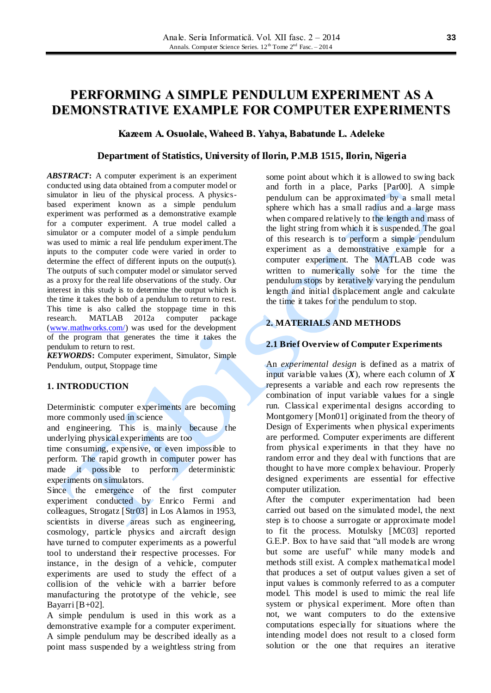# **PERFORMING A SIMPLE PENDULUM EXPERIMENT AS A DEMONSTRATIVE EXAMPLE FOR COMPUTER EXPERIMENTS**

# **Kazeem A. Osuolale, Waheed B. Yahya, Babatunde L. Adeleke**

## **Department of Statistics, University of Ilorin, P.M.B 1515, Ilorin, Nigeria**

*ABSTRACT***:** A computer experiment is an experiment conducted using data obtained from a computer model or simulator in lieu of the physical process. A physicsbased experiment known as a simple pendulum experiment was performed as a demonstrative example for a computer experiment. A true model called a simulator or a computer model of a simple pendulum was used to mimic a real life pendulum experiment.The inputs to the computer code were varied in order to determine the effect of different inputs on the output(s). The outputs of such computer model or simulator served as a proxy for the real life observations of the study. Our interest in this study is to determine the output which is the time it takes the bob of a pendulum to return to rest. This time is also called the stoppage time in this research. MATLAB 2012a computer package [\(www.mathworks.com/\)](http://www.mathworks.com/) was used for the development of the program that generates the time it takes the pendulum to return to rest.

*KEYWORDS***:** Computer experiment, Simulator, Simple Pendulum, output, Stoppage time

## **1. INTRODUCTION**

Deterministic computer experiments are becoming more commonly used in science

and engineering. This is mainly because the underlying physical experiments are too

time consuming, expensive, or even impossible to perform. The rapid growth in computer power has made it possible to perform deterministic experiments on simulators.

Since the emergence of the first computer experiment conducted by Enrico Fermi and colleagues, Strogatz [Str03] in Los Alamos in 1953, scientists in diverse areas such as engineering, cosmology, particle physics and aircraft design have turned to computer experiments as a powerful tool to understand their respective processes. For instance, in the design of a vehicle, computer experiments are used to study the effect of a collision of the vehicle with a barrier before manufacturing the prototype of the vehicle, see Bayarri [B+02].

A simple pendulum is used in this work as a demonstrative example for a computer experiment. A simple pendulum may be described ideally as a point mass suspended by a weightless string from

some point about which it is allowed to swing back and forth in a place, Parks [Par00]. A simple pendulum can be approximated by a small metal sphere which has a small radius and a large mass when compared relatively to the length and mass of the light string from which it is suspended. The goal of this research is to perform a simple pendulum experiment as a demonstrative example for a computer experiment. The MATLAB code was written to numerically solve for the time the pendulum stops by iteratively varying the pendulum length and initial displacement angle and calculate the time it takes for the pendulum to stop.

# **2. MATERIALS AND METHODS**

### **2.1 Brief Overview of Computer Experiments**

An *experimental design* is defined as a matrix of input variable values  $(X)$ , where each column of  $X$ represents a variable and each row represents the combination of input variable values for a single run. Classical experimental designs according to Montgomery [Mon01] originated from the theory of Design of Experiments when physical experiments are performed. Computer experiments are different from physical experiments in that they have no random error and they deal with functions that are thought to have more complex behaviour. Properly designed experiments are essential for effective computer utilization.

After the computer experimentation had been carried out based on the simulated model, the next step is to choose a surrogate or approximate model to fit the process. Motulsky [MC03] reported G.E.P. Box to have said that "all models are wrong but some are useful" while many models and methods still exist. A complex mathematical model that produces a set of output values given a set of input values is commonly referred to as a computer model. This model is used to mimic the real life system or physical experiment. More often than not, we want computers to do the extensive computations especially for situations where the intending model does not result to a closed form solution or the one that requires an iterative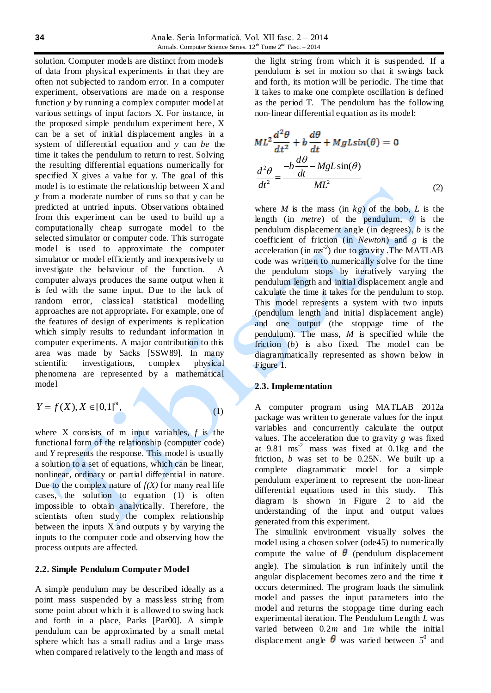solution. Computer models are distinct from models of data from physical experiments in that they are often not subjected to random error. In a computer experiment, observations are made on a response function *y* by running a complex computer model at various settings of input factors X. For instance, in the proposed simple pendulum experiment here, X can be a set of initial displacement angles in a system of differential equation and *y* can *be* the time it takes the pendulum to return to rest. Solving the resulting differential equations numerically for specified X gives a value for y. The goal of this model is to estimate the relationship between X and *y* from a moderate number of runs so that y can be predicted at untried inputs. Observations obtained from this experiment can be used to build up a computationally cheap surrogate model to the selected simulator or computer code. This surrogate model is used to approximate the computer simulator or model efficiently and inexpensively to investigate the behaviour of the function. A computer always produces the same output when it is fed with the same input. Due to the lack of random error, classical statistical modelling approaches are not appropriate**.** For example, one of the features of design of experiments is replication which simply results to redundant information in computer experiments. A major contribution to this area was made by Sacks [SSW89]. In many scientific investigations, complex physical phenomena are represented by a mathematical model

$$
Y=f(X), X\in [0,1]^m,
$$

(1)

where X consists of m input variables, *f* is the functional form of the relationship (computer code) and *Y* represents the response. This model is usually a solution to a set of equations, which can be linear, nonlinear, ordinary or partial differential in nature. Due to the complex nature of  $f(X)$  for many real life cases, the solution to equation (1) is often impossible to obtain analytically. Therefore, the scientists often study the complex relationship between the inputs  $X$  and outputs  $y$  by varying the inputs to the computer code and observing how the process outputs are affected.

## **2.2. Simple Pendulum Computer Model**

A simple pendulum may be described ideally as a point mass suspended by a massless string from some point about which it is allowed to swing back and forth in a place, Parks [Par00]. A simple pendulum can be approximated by a small metal sphere which has a small radius and a large mass when compared relatively to the length and mass of

the light string from which it is suspended. If a pendulum is set in motion so that it swings back and forth, its motion will be periodic. The time that it takes to make one complete oscillation is defined as the period T. The pendulum has the following non-linear differential equation as its model:

$$
ML^{2} \frac{d^{2} \theta}{dt^{2}} + b \frac{d\theta}{dt} + MgLsin(\theta) = 0
$$

$$
\frac{d^{2} \theta}{dt^{2}} = \frac{-b \frac{d\theta}{dt} - MgLsin(\theta)}{ML^{2}}
$$
(2)

where *M* is the mass (in  $kg$ ) of the bob, *L* is the length (in *metre*) of the pendulum, *θ* is the pendulum displacement angle (in degrees), *b* is the coefficient of friction (in *Newton*) and *g* is the acceleration (in *ms -2* ) due to gravity .The MATLAB code was written to numerically solve for the time the pendulum stops by iteratively varying the pendulum length and initial displacement angle and calculate the time it takes for the pendulum to stop. This model represents a system with two inputs (pendulum length and initial displacement angle) and one output (the stoppage time of the pendulum). The mass, *M* is specified while the friction (*b*) is also fixed. The model can be diagrammatically represented as shown below in Figure 1.

### **2.3. Implementation**

A computer program using MATLAB 2012a package was written to generate values for the input variables and concurrently calculate the output values. The acceleration due to gravity *g* was fixed at  $9.81$  ms<sup>-2</sup> mass was fixed at  $0.1$ kg and the friction, *b* was set to be 0.25N. We built up a complete diagrammatic model for a simple pendulum experiment to represent the non-linear differential equations used in this study. This diagram is shown in Figure 2 to aid the understanding of the input and output values generated from this experiment.

The simulink environment visually solves the model using a chosen solver (ode45) to numerically compute the value of  $\theta$  (pendulum displacement angle). The simulation is run infinitely until the angular displacement becomes zero and the time it occurs determined. The program loads the simulink model and passes the input parameters into the model and returns the stoppage time during each experimental iteration. The Pendulum Length *L* was varied between 0.2*m* and 1*m* while the initial displacement angle  $\theta$  was varied between  $5^0$  and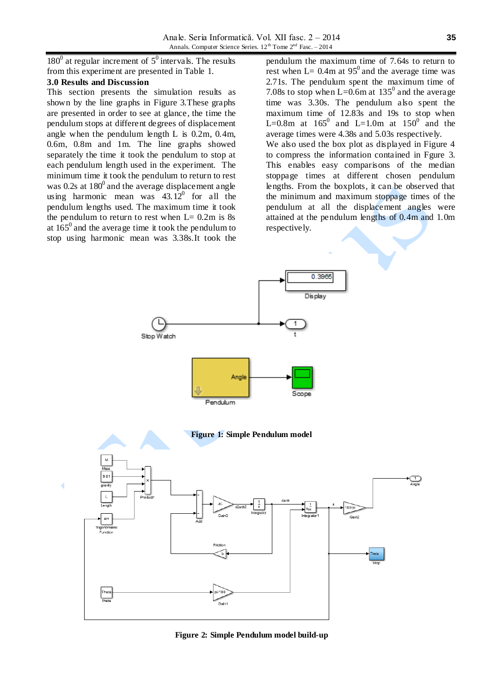Anale. Seria Informatică. Vol. XII fasc. 2 – 2014 Annals. Computer Science Series.  $12^{th}$  Tome  $2^{nd}$  Fasc. – 2014

 $180^0$  at regular increment of  $5^0$  intervals. The results from this experiment are presented in Table 1.

## **3.0 Results and Discussion**

This section presents the simulation results as shown by the line graphs in Figure 3.These graphs are presented in order to see at glance, the time the pendulum stops at different degrees of displacement angle when the pendulum length L is 0.2m, 0.4m, 0.6m, 0.8m and 1m. The line graphs showed separately the time it took the pendulum to stop at each pendulum length used in the experiment. The minimum time it took the pendulum to return to rest was 0.2s at  $180^{\circ}$  and the average displacement angle using harmonic mean was  $43.12^{\circ}$  for all the pendulum lengths used. The maximum time it took the pendulum to return to rest when  $L = 0.2m$  is 8s at  $165^{\circ}$  and the average time it took the pendulum to stop using harmonic mean was 3.38s.It took the

pendulum the maximum time of 7.64s to return to rest when  $L= 0.4$ m at 95<sup>0</sup> and the average time was 2.71s. The pendulum spent the maximum time of 7.08s to stop when L=0.6m at  $135^{\circ}$  and the average time was 3.30s. The pendulum also spent the maximum time of 12.83s and 19s to stop when L=0.8m at  $165^0$  and L=1.0m at  $150^0$  and the average times were 4.38s and 5.03s respectively. We also used the box plot as displayed in Figure 4 to compress the information contained in Fgure 3. This enables easy comparisons of the median stoppage times at different chosen pendulum lengths. From the boxplots, it can be observed that the minimum and maximum stoppage times of the pendulum at all the displacement angles were attained at the pendulum lengths of 0.4m and 1.0m respectively.

0.3965



**Figure 2: Simple Pendulum model build-up**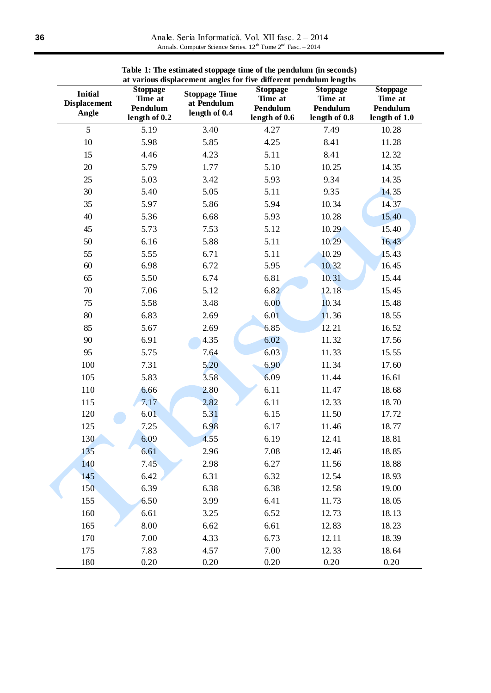Anale. Seria Informatică. Vol. XII fasc. 2 – 2014 Annals. Computer Science Series.  $12^{th}$  Tome  $2^{nd}$  Fasc. – 2014

| at various displacement angles for five different pendulum lengths |                                                         |                                                      |                                                         |                                                         |                                                         |
|--------------------------------------------------------------------|---------------------------------------------------------|------------------------------------------------------|---------------------------------------------------------|---------------------------------------------------------|---------------------------------------------------------|
| <b>Initial</b><br><b>Displacement</b><br>Angle                     | <b>Stoppage</b><br>Time at<br>Pendulum<br>length of 0.2 | <b>Stoppage Time</b><br>at Pendulum<br>length of 0.4 | <b>Stoppage</b><br>Time at<br>Pendulum<br>length of 0.6 | <b>Stoppage</b><br>Time at<br>Pendulum<br>length of 0.8 | <b>Stoppage</b><br>Time at<br>Pendulum<br>length of 1.0 |
| 5                                                                  | 5.19                                                    | 3.40                                                 | 4.27                                                    | 7.49                                                    | 10.28                                                   |
| $10\,$                                                             | 5.98                                                    | 5.85                                                 | 4.25                                                    | 8.41                                                    | 11.28                                                   |
| 15                                                                 | 4.46                                                    | 4.23                                                 | 5.11                                                    | 8.41                                                    | 12.32                                                   |
| $20\,$                                                             | 5.79                                                    | 1.77                                                 | 5.10                                                    | 10.25                                                   | 14.35                                                   |
| 25                                                                 | 5.03                                                    | 3.42                                                 | 5.93                                                    | 9.34                                                    | 14.35                                                   |
| 30                                                                 | 5.40                                                    | 5.05                                                 | 5.11                                                    | 9.35                                                    | 14.35                                                   |
| 35                                                                 | 5.97                                                    | 5.86                                                 | 5.94                                                    | 10.34                                                   | 14.37                                                   |
| 40                                                                 | 5.36                                                    | 6.68                                                 | 5.93                                                    | 10.28                                                   | 15.40                                                   |
| 45                                                                 | 5.73                                                    | 7.53                                                 | 5.12                                                    | 10.29                                                   | 15.40                                                   |
| 50                                                                 | 6.16                                                    | 5.88                                                 | 5.11                                                    | 10.29                                                   | 16.43                                                   |
| 55                                                                 | 5.55                                                    | 6.71                                                 | 5.11                                                    | 10.29                                                   | 15.43                                                   |
| 60                                                                 | 6.98                                                    | 6.72                                                 | 5.95                                                    | 10.32                                                   | 16.45                                                   |
| 65                                                                 | 5.50                                                    | 6.74                                                 | 6.81                                                    | 10.31                                                   | 15.44                                                   |
| $70\,$                                                             | 7.06                                                    | 5.12                                                 | 6.82                                                    | 12.18                                                   | 15.45                                                   |
| 75                                                                 | 5.58                                                    | 3.48                                                 | 6.00                                                    | 10.34                                                   | 15.48                                                   |
| 80                                                                 | 6.83                                                    | 2.69                                                 | 6.01                                                    | 11.36                                                   | 18.55                                                   |
| 85                                                                 | 5.67                                                    | 2.69                                                 | 6.85                                                    | 12.21                                                   | 16.52                                                   |
| 90                                                                 | 6.91                                                    | 4.35                                                 | 6.02                                                    | 11.32                                                   | 17.56                                                   |
| 95                                                                 | 5.75                                                    | 7.64                                                 | 6.03                                                    | 11.33                                                   | 15.55                                                   |
| 100                                                                | 7.31                                                    | 5.20                                                 | 6.90                                                    | 11.34                                                   | 17.60                                                   |
| 105                                                                | 5.83                                                    | 3.58                                                 | 6.09                                                    | 11.44                                                   | 16.61                                                   |
| 110                                                                | 6.66                                                    | 2.80                                                 | 6.11                                                    | 11.47                                                   | 18.68                                                   |
| 115                                                                | 7.17                                                    | 2.82                                                 | 6.11                                                    | 12.33                                                   | 18.70                                                   |
| 120                                                                | 6.01                                                    | 5.31                                                 | 6.15                                                    | 11.50                                                   | 17.72                                                   |
| 125                                                                | 7.25                                                    | 6.98                                                 | 6.17                                                    | 11.46                                                   | 18.77                                                   |
| 130                                                                | 6.09                                                    | 4.55                                                 | 6.19                                                    | 12.41                                                   | 18.81                                                   |
| 135                                                                | 6.61                                                    | 2.96                                                 | 7.08                                                    | 12.46                                                   | 18.85                                                   |
| 140                                                                | 7.45                                                    | 2.98                                                 | 6.27                                                    | 11.56                                                   | 18.88                                                   |
| 145                                                                | 6.42                                                    | 6.31                                                 | 6.32                                                    | 12.54                                                   | 18.93                                                   |
| 150                                                                | 6.39                                                    | 6.38                                                 | 6.38                                                    | 12.58                                                   | 19.00                                                   |
| 155                                                                | 6.50                                                    | 3.99                                                 | 6.41                                                    | 11.73                                                   | 18.05                                                   |
| 160                                                                | 6.61                                                    | 3.25                                                 | 6.52                                                    | 12.73                                                   | 18.13                                                   |
| 165                                                                | 8.00                                                    | 6.62                                                 | 6.61                                                    | 12.83                                                   | 18.23                                                   |
| 170                                                                | 7.00                                                    | 4.33                                                 | 6.73                                                    | 12.11                                                   | 18.39                                                   |
| 175                                                                | 7.83                                                    | 4.57                                                 | 7.00                                                    | 12.33                                                   | 18.64                                                   |
| 180                                                                | 0.20                                                    | 0.20                                                 | 0.20                                                    | 0.20                                                    | 0.20                                                    |

**Table 1: The estimated stoppage time of the pendulum (in seconds)**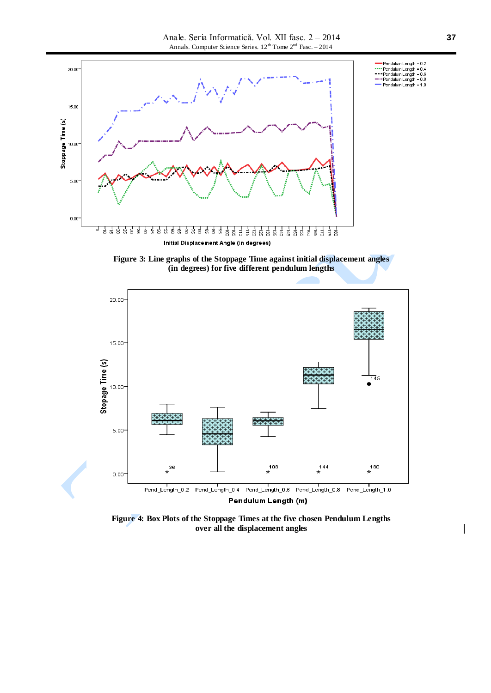





**Figure 4: Box Plots of the Stoppage Times at the five chosen Pendulum Lengths over all the displacement angles**